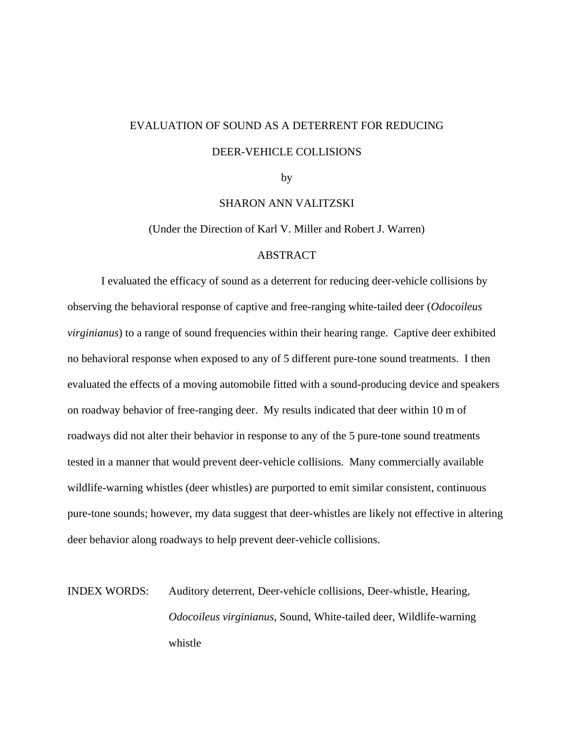## EVALUATION OF SOUND AS A DETERRENT FOR REDUCING DEER-VEHICLE COLLISIONS

by

SHARON ANN VALITZSKI

(Under the Direction of Karl V. Miller and Robert J. Warren)

#### ABSTRACT

I evaluated the efficacy of sound as a deterrent for reducing deer-vehicle collisions by observing the behavioral response of captive and free-ranging white-tailed deer (*Odocoileus virginianus*) to a range of sound frequencies within their hearing range. Captive deer exhibited no behavioral response when exposed to any of 5 different pure-tone sound treatments. I then evaluated the effects of a moving automobile fitted with a sound-producing device and speakers on roadway behavior of free-ranging deer. My results indicated that deer within 10 m of roadways did not alter their behavior in response to any of the 5 pure-tone sound treatments tested in a manner that would prevent deer-vehicle collisions. Many commercially available wildlife-warning whistles (deer whistles) are purported to emit similar consistent, continuous pure-tone sounds; however, my data suggest that deer-whistles are likely not effective in altering deer behavior along roadways to help prevent deer-vehicle collisions.

# INDEX WORDS: Auditory deterrent, Deer-vehicle collisions, Deer-whistle, Hearing, *Odocoileus virginianus*, Sound, White-tailed deer, Wildlife-warning whistle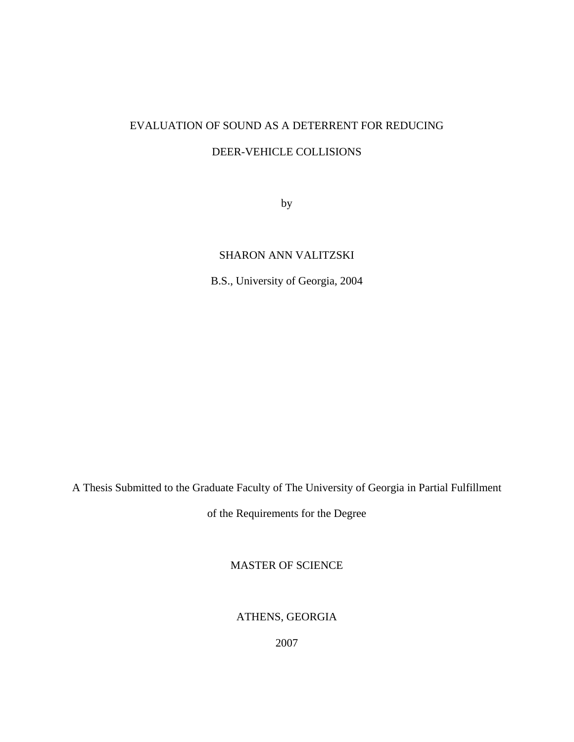### EVALUATION OF SOUND AS A DETERRENT FOR REDUCING

### DEER-VEHICLE COLLISIONS

by

### SHARON ANN VALITZSKI

B.S., University of Georgia, 2004

A Thesis Submitted to the Graduate Faculty of The University of Georgia in Partial Fulfillment

of the Requirements for the Degree

MASTER OF SCIENCE

ATHENS, GEORGIA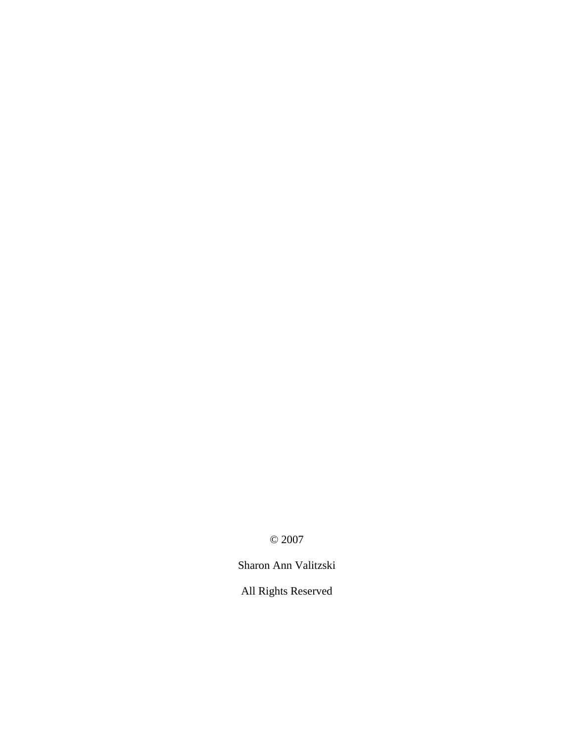© 2007

Sharon Ann Valitzski

All Rights Reserved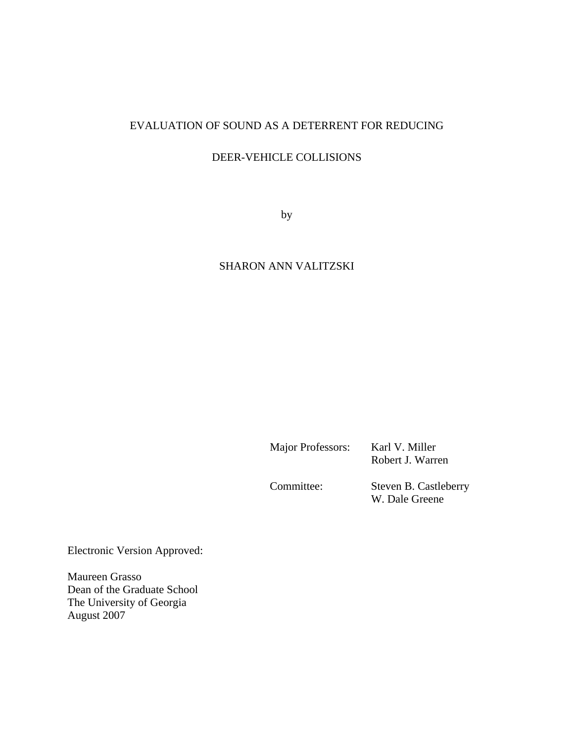### EVALUATION OF SOUND AS A DETERRENT FOR REDUCING

### DEER-VEHICLE COLLISIONS

by

### SHARON ANN VALITZSKI

Major Professors: Karl V. Miller

Robert J. Warren

Committee: Steven B. Castleberry W. Dale Greene

Electronic Version Approved:

Maureen Grasso Dean of the Graduate School The University of Georgia August 2007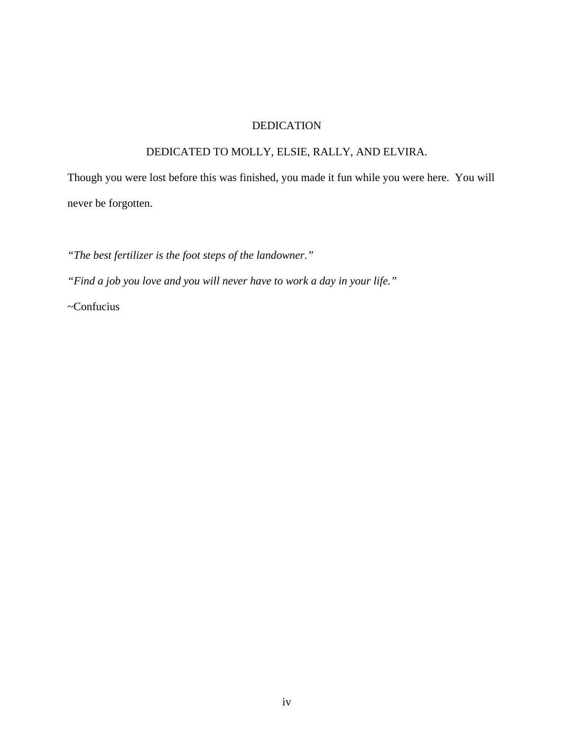### DEDICATION

### DEDICATED TO MOLLY, ELSIE, RALLY, AND ELVIRA.

Though you were lost before this was finished, you made it fun while you were here. You will never be forgotten.

*"The best fertilizer is the foot steps of the landowner."* 

*"Find a job you love and you will never have to work a day in your life."* 

~Confucius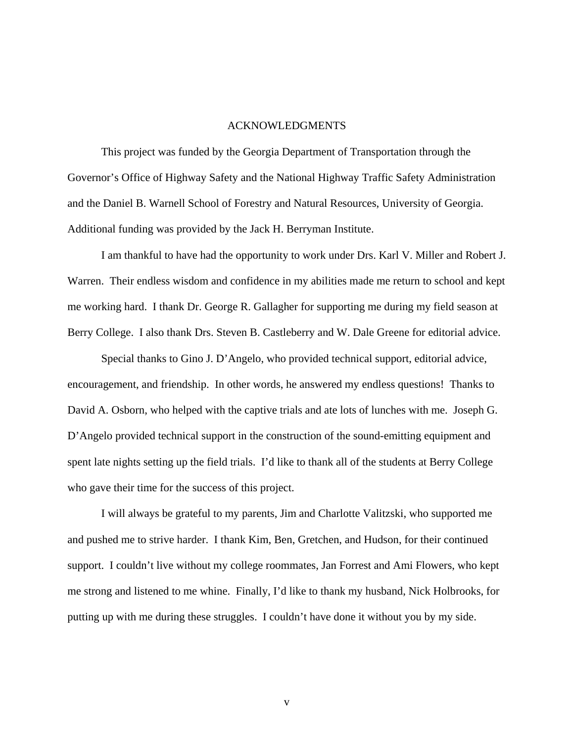#### ACKNOWLEDGMENTS

This project was funded by the Georgia Department of Transportation through the Governor's Office of Highway Safety and the National Highway Traffic Safety Administration and the Daniel B. Warnell School of Forestry and Natural Resources, University of Georgia. Additional funding was provided by the Jack H. Berryman Institute.

I am thankful to have had the opportunity to work under Drs. Karl V. Miller and Robert J. Warren. Their endless wisdom and confidence in my abilities made me return to school and kept me working hard. I thank Dr. George R. Gallagher for supporting me during my field season at Berry College. I also thank Drs. Steven B. Castleberry and W. Dale Greene for editorial advice.

Special thanks to Gino J. D'Angelo, who provided technical support, editorial advice, encouragement, and friendship. In other words, he answered my endless questions! Thanks to David A. Osborn, who helped with the captive trials and ate lots of lunches with me. Joseph G. D'Angelo provided technical support in the construction of the sound-emitting equipment and spent late nights setting up the field trials. I'd like to thank all of the students at Berry College who gave their time for the success of this project.

I will always be grateful to my parents, Jim and Charlotte Valitzski, who supported me and pushed me to strive harder. I thank Kim, Ben, Gretchen, and Hudson, for their continued support. I couldn't live without my college roommates, Jan Forrest and Ami Flowers, who kept me strong and listened to me whine. Finally, I'd like to thank my husband, Nick Holbrooks, for putting up with me during these struggles. I couldn't have done it without you by my side.

v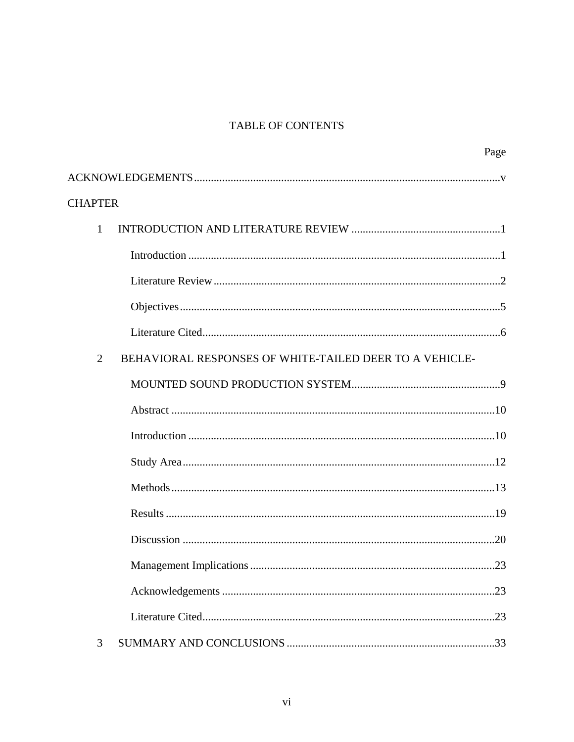### **TABLE OF CONTENTS**

|                | Page                                                    |
|----------------|---------------------------------------------------------|
|                |                                                         |
| <b>CHAPTER</b> |                                                         |
| $\mathbf{1}$   |                                                         |
|                |                                                         |
|                |                                                         |
|                |                                                         |
|                |                                                         |
| $\overline{2}$ | BEHAVIORAL RESPONSES OF WHITE-TAILED DEER TO A VEHICLE- |
|                |                                                         |
|                |                                                         |
|                |                                                         |
|                |                                                         |
|                |                                                         |
|                |                                                         |
|                |                                                         |
|                | .23                                                     |
|                |                                                         |
|                |                                                         |
| 3              |                                                         |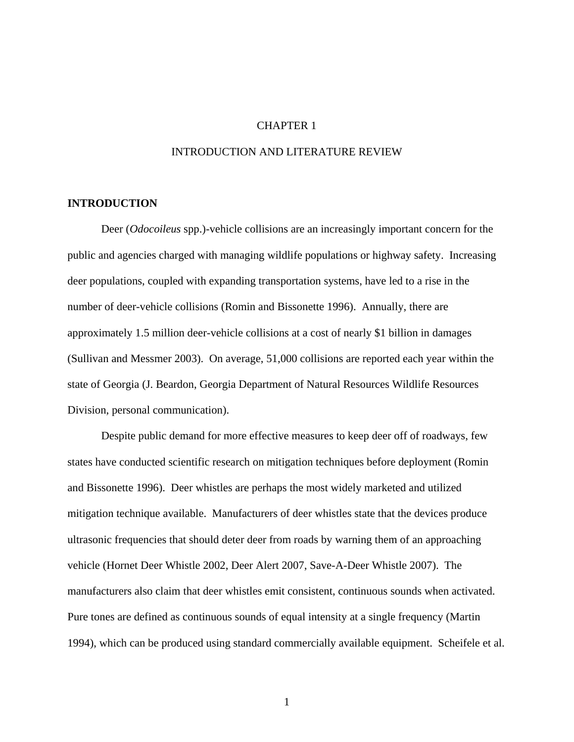### CHAPTER 1

### INTRODUCTION AND LITERATURE REVIEW

#### **INTRODUCTION**

 Deer (*Odocoileus* spp.)-vehicle collisions are an increasingly important concern for the public and agencies charged with managing wildlife populations or highway safety. Increasing deer populations, coupled with expanding transportation systems, have led to a rise in the number of deer-vehicle collisions (Romin and Bissonette 1996). Annually, there are approximately 1.5 million deer-vehicle collisions at a cost of nearly \$1 billion in damages (Sullivan and Messmer 2003). On average, 51,000 collisions are reported each year within the state of Georgia (J. Beardon, Georgia Department of Natural Resources Wildlife Resources Division, personal communication).

Despite public demand for more effective measures to keep deer off of roadways, few states have conducted scientific research on mitigation techniques before deployment (Romin and Bissonette 1996). Deer whistles are perhaps the most widely marketed and utilized mitigation technique available. Manufacturers of deer whistles state that the devices produce ultrasonic frequencies that should deter deer from roads by warning them of an approaching vehicle (Hornet Deer Whistle 2002, Deer Alert 2007, Save-A-Deer Whistle 2007). The manufacturers also claim that deer whistles emit consistent, continuous sounds when activated. Pure tones are defined as continuous sounds of equal intensity at a single frequency (Martin 1994), which can be produced using standard commercially available equipment. Scheifele et al.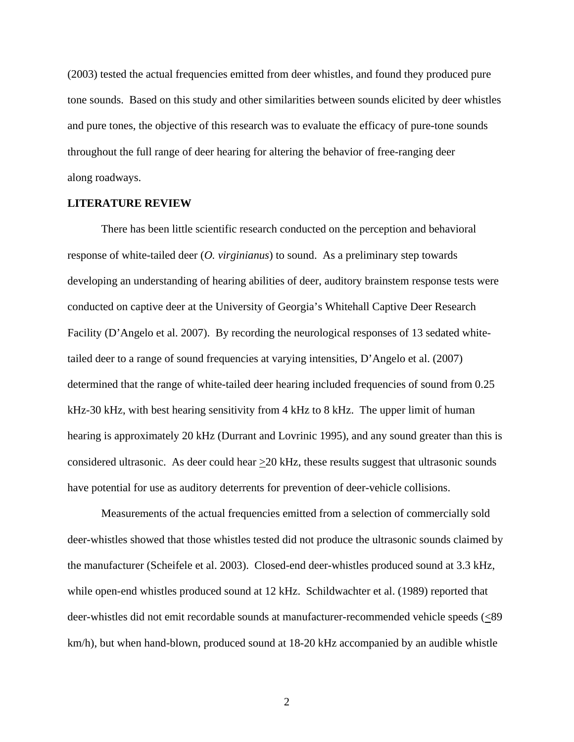(2003) tested the actual frequencies emitted from deer whistles, and found they produced pure tone sounds. Based on this study and other similarities between sounds elicited by deer whistles and pure tones, the objective of this research was to evaluate the efficacy of pure-tone sounds throughout the full range of deer hearing for altering the behavior of free-ranging deer along roadways.

### **LITERATURE REVIEW**

There has been little scientific research conducted on the perception and behavioral response of white-tailed deer (*O. virginianus*) to sound. As a preliminary step towards developing an understanding of hearing abilities of deer, auditory brainstem response tests were conducted on captive deer at the University of Georgia's Whitehall Captive Deer Research Facility (D'Angelo et al. 2007). By recording the neurological responses of 13 sedated whitetailed deer to a range of sound frequencies at varying intensities, D'Angelo et al. (2007) determined that the range of white-tailed deer hearing included frequencies of sound from 0.25 kHz-30 kHz, with best hearing sensitivity from 4 kHz to 8 kHz. The upper limit of human hearing is approximately 20 kHz (Durrant and Lovrinic 1995), and any sound greater than this is considered ultrasonic. As deer could hear >20 kHz, these results suggest that ultrasonic sounds have potential for use as auditory deterrents for prevention of deer-vehicle collisions.

Measurements of the actual frequencies emitted from a selection of commercially sold deer-whistles showed that those whistles tested did not produce the ultrasonic sounds claimed by the manufacturer (Scheifele et al. 2003). Closed-end deer-whistles produced sound at 3.3 kHz, while open-end whistles produced sound at 12 kHz. Schildwachter et al. (1989) reported that deer-whistles did not emit recordable sounds at manufacturer-recommended vehicle speeds (<89 km/h), but when hand-blown, produced sound at 18-20 kHz accompanied by an audible whistle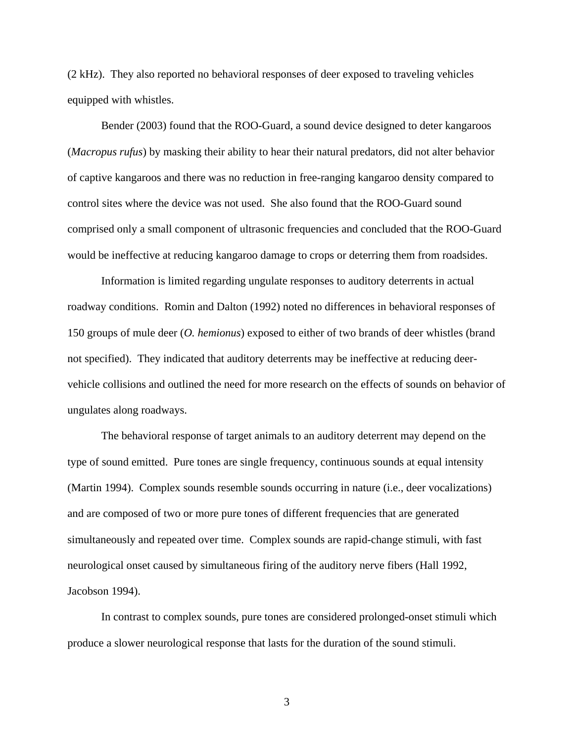(2 kHz). They also reported no behavioral responses of deer exposed to traveling vehicles equipped with whistles.

Bender (2003) found that the ROO-Guard, a sound device designed to deter kangaroos (*Macropus rufus*) by masking their ability to hear their natural predators, did not alter behavior of captive kangaroos and there was no reduction in free-ranging kangaroo density compared to control sites where the device was not used. She also found that the ROO-Guard sound comprised only a small component of ultrasonic frequencies and concluded that the ROO-Guard would be ineffective at reducing kangaroo damage to crops or deterring them from roadsides.

Information is limited regarding ungulate responses to auditory deterrents in actual roadway conditions. Romin and Dalton (1992) noted no differences in behavioral responses of 150 groups of mule deer (*O. hemionus*) exposed to either of two brands of deer whistles (brand not specified). They indicated that auditory deterrents may be ineffective at reducing deervehicle collisions and outlined the need for more research on the effects of sounds on behavior of ungulates along roadways.

The behavioral response of target animals to an auditory deterrent may depend on the type of sound emitted. Pure tones are single frequency, continuous sounds at equal intensity (Martin 1994). Complex sounds resemble sounds occurring in nature (i.e., deer vocalizations) and are composed of two or more pure tones of different frequencies that are generated simultaneously and repeated over time. Complex sounds are rapid-change stimuli, with fast neurological onset caused by simultaneous firing of the auditory nerve fibers (Hall 1992, Jacobson 1994).

In contrast to complex sounds, pure tones are considered prolonged-onset stimuli which produce a slower neurological response that lasts for the duration of the sound stimuli.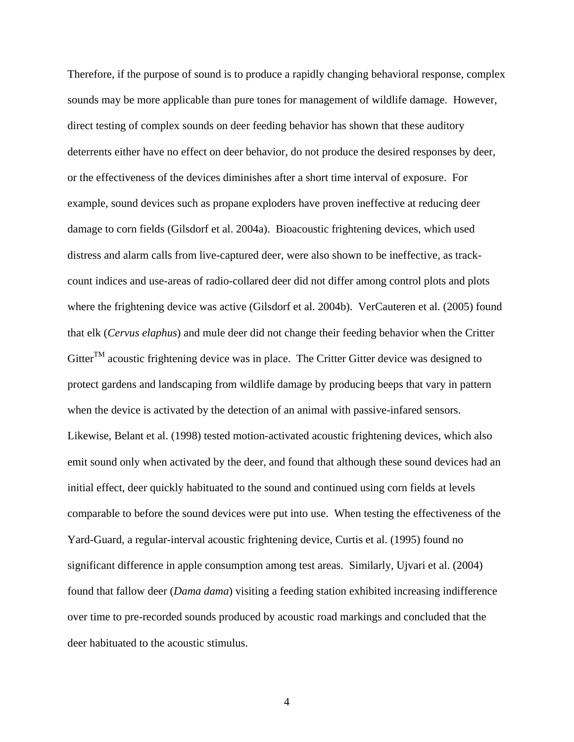Therefore, if the purpose of sound is to produce a rapidly changing behavioral response, complex sounds may be more applicable than pure tones for management of wildlife damage. However, direct testing of complex sounds on deer feeding behavior has shown that these auditory deterrents either have no effect on deer behavior, do not produce the desired responses by deer, or the effectiveness of the devices diminishes after a short time interval of exposure. For example, sound devices such as propane exploders have proven ineffective at reducing deer damage to corn fields (Gilsdorf et al. 2004a). Bioacoustic frightening devices, which used distress and alarm calls from live-captured deer, were also shown to be ineffective, as trackcount indices and use-areas of radio-collared deer did not differ among control plots and plots where the frightening device was active (Gilsdorf et al. 2004b). VerCauteren et al. (2005) found that elk (*Cervus elaphus*) and mule deer did not change their feeding behavior when the Critter  $Gitter^{TM}$  acoustic frightening device was in place. The Critter Gitter device was designed to protect gardens and landscaping from wildlife damage by producing beeps that vary in pattern when the device is activated by the detection of an animal with passive-infared sensors. Likewise, Belant et al. (1998) tested motion-activated acoustic frightening devices, which also emit sound only when activated by the deer, and found that although these sound devices had an initial effect, deer quickly habituated to the sound and continued using corn fields at levels comparable to before the sound devices were put into use. When testing the effectiveness of the Yard-Guard, a regular-interval acoustic frightening device, Curtis et al. (1995) found no significant difference in apple consumption among test areas. Similarly, Ujvari et al. (2004) found that fallow deer (*Dama dama*) visiting a feeding station exhibited increasing indifference over time to pre-recorded sounds produced by acoustic road markings and concluded that the deer habituated to the acoustic stimulus.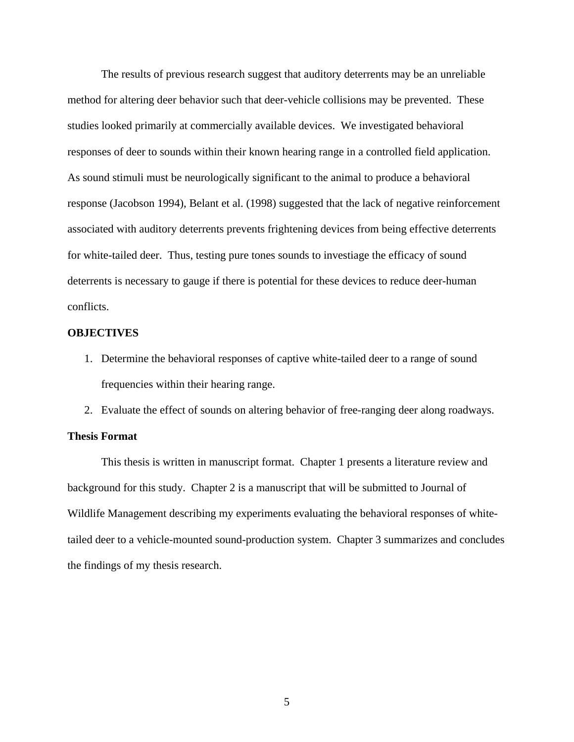The results of previous research suggest that auditory deterrents may be an unreliable method for altering deer behavior such that deer-vehicle collisions may be prevented. These studies looked primarily at commercially available devices. We investigated behavioral responses of deer to sounds within their known hearing range in a controlled field application. As sound stimuli must be neurologically significant to the animal to produce a behavioral response (Jacobson 1994), Belant et al. (1998) suggested that the lack of negative reinforcement associated with auditory deterrents prevents frightening devices from being effective deterrents for white-tailed deer. Thus, testing pure tones sounds to investiage the efficacy of sound deterrents is necessary to gauge if there is potential for these devices to reduce deer-human conflicts.

#### **OBJECTIVES**

- 1. Determine the behavioral responses of captive white-tailed deer to a range of sound frequencies within their hearing range.
- 2. Evaluate the effect of sounds on altering behavior of free-ranging deer along roadways.

#### **Thesis Format**

 This thesis is written in manuscript format. Chapter 1 presents a literature review and background for this study. Chapter 2 is a manuscript that will be submitted to Journal of Wildlife Management describing my experiments evaluating the behavioral responses of whitetailed deer to a vehicle-mounted sound-production system. Chapter 3 summarizes and concludes the findings of my thesis research.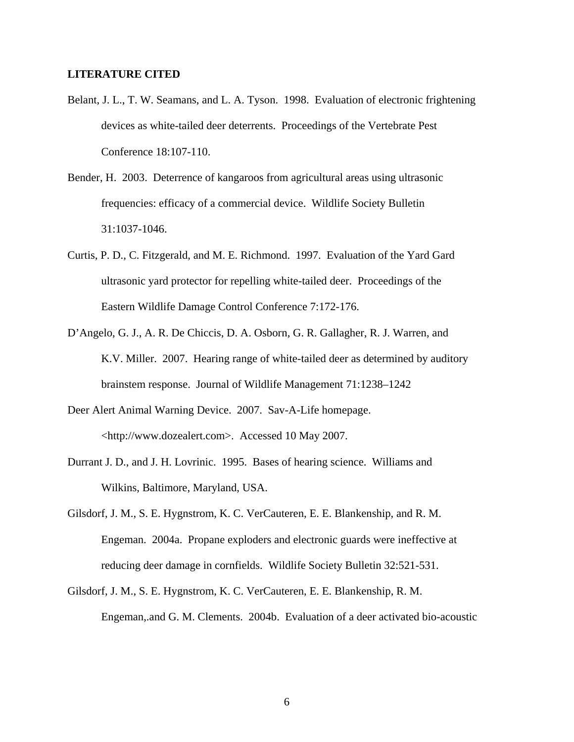### **LITERATURE CITED**

- Belant, J. L., T. W. Seamans, and L. A. Tyson. 1998. Evaluation of electronic frightening devices as white-tailed deer deterrents. Proceedings of the Vertebrate Pest Conference 18:107-110.
- Bender, H. 2003. Deterrence of kangaroos from agricultural areas using ultrasonic frequencies: efficacy of a commercial device. Wildlife Society Bulletin 31:1037-1046.
- Curtis, P. D., C. Fitzgerald, and M. E. Richmond. 1997. Evaluation of the Yard Gard ultrasonic yard protector for repelling white-tailed deer. Proceedings of the Eastern Wildlife Damage Control Conference 7:172-176.
- D'Angelo, G. J., A. R. De Chiccis, D. A. Osborn, G. R. Gallagher, R. J. Warren, and K.V. Miller. 2007. Hearing range of white-tailed deer as determined by auditory brainstem response. Journal of Wildlife Management 71:1238–1242
- Deer Alert Animal Warning Device. 2007. Sav-A-Life homepage. <http://www.dozealert.com>. Accessed 10 May 2007.
- Durrant J. D., and J. H. Lovrinic. 1995. Bases of hearing science. Williams and Wilkins, Baltimore, Maryland, USA.
- Gilsdorf, J. M., S. E. Hygnstrom, K. C. VerCauteren, E. E. Blankenship, and R. M. Engeman. 2004a. Propane exploders and electronic guards were ineffective at reducing deer damage in cornfields. Wildlife Society Bulletin 32:521-531.
- Gilsdorf, J. M., S. E. Hygnstrom, K. C. VerCauteren, E. E. Blankenship, R. M. Engeman,.and G. M. Clements. 2004b. Evaluation of a deer activated bio-acoustic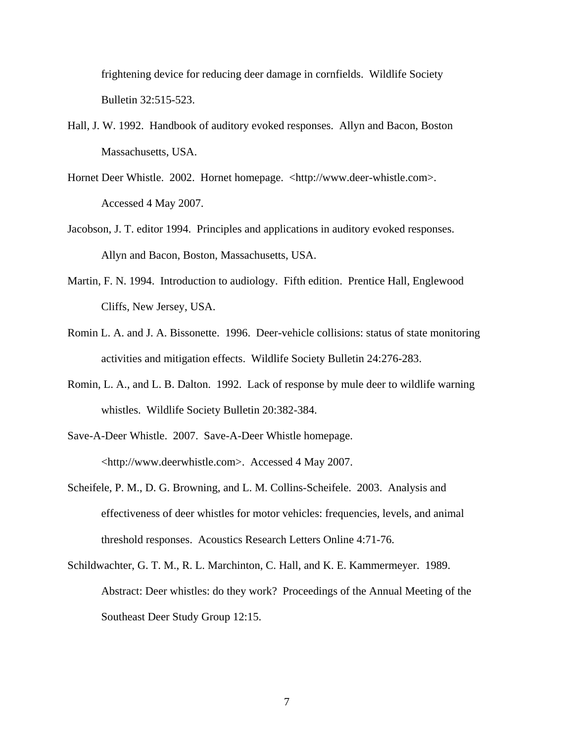frightening device for reducing deer damage in cornfields. Wildlife Society Bulletin 32:515-523.

- Hall, J. W. 1992. Handbook of auditory evoked responses. Allyn and Bacon, Boston Massachusetts, USA.
- Hornet Deer Whistle. 2002. Hornet homepage. <http://www.deer-whistle.com>. Accessed 4 May 2007.
- Jacobson, J. T. editor 1994. Principles and applications in auditory evoked responses. Allyn and Bacon, Boston, Massachusetts, USA.
- Martin, F. N. 1994. Introduction to audiology. Fifth edition. Prentice Hall, Englewood Cliffs, New Jersey, USA.
- Romin L. A. and J. A. Bissonette. 1996. Deer-vehicle collisions: status of state monitoring activities and mitigation effects. Wildlife Society Bulletin 24:276-283.
- Romin, L. A., and L. B. Dalton. 1992. Lack of response by mule deer to wildlife warning whistles. Wildlife Society Bulletin 20:382-384.
- Save-A-Deer Whistle. 2007. Save-A-Deer Whistle homepage. <http://www.deerwhistle.com>. Accessed 4 May 2007.
- Scheifele, P. M., D. G. Browning, and L. M. Collins-Scheifele. 2003. Analysis and effectiveness of deer whistles for motor vehicles: frequencies, levels, and animal threshold responses. Acoustics Research Letters Online 4:71-76.
- Schildwachter, G. T. M., R. L. Marchinton, C. Hall, and K. E. Kammermeyer. 1989. Abstract: Deer whistles: do they work? Proceedings of the Annual Meeting of the Southeast Deer Study Group 12:15.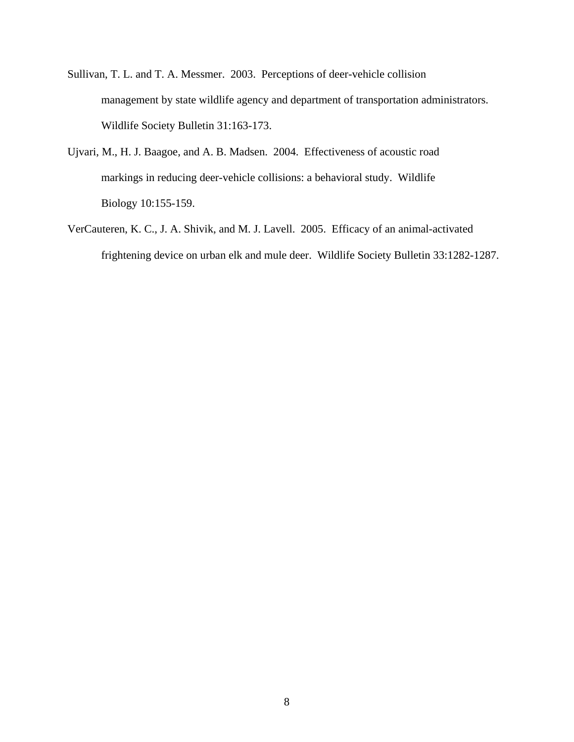- Sullivan, T. L. and T. A. Messmer. 2003. Perceptions of deer-vehicle collision management by state wildlife agency and department of transportation administrators. Wildlife Society Bulletin 31:163-173.
- Ujvari, M., H. J. Baagoe, and A. B. Madsen. 2004. Effectiveness of acoustic road markings in reducing deer-vehicle collisions: a behavioral study. Wildlife Biology 10:155-159.
- VerCauteren, K. C., J. A. Shivik, and M. J. Lavell. 2005. Efficacy of an animal-activated frightening device on urban elk and mule deer. Wildlife Society Bulletin 33:1282-1287.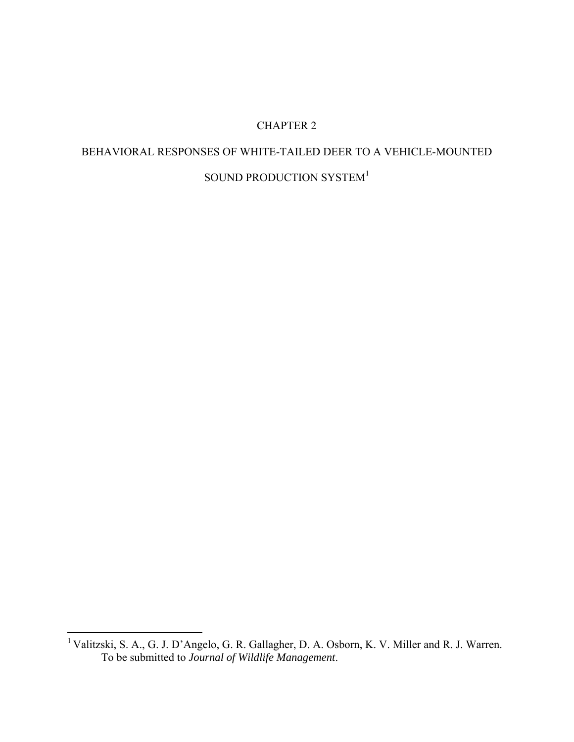### CHAPTER 2

# BEHAVIORAL RESPONSES OF WHITE-TAILED DEER TO A VEHICLE-MOUNTED SOUND PRODUCTION SYSTEM<sup>1</sup>

 $\overline{a}$ 

<sup>&</sup>lt;sup>1</sup> Valitzski, S. A., G. J. D'Angelo, G. R. Gallagher, D. A. Osborn, K. V. Miller and R. J. Warren. To be submitted to *Journal of Wildlife Management*.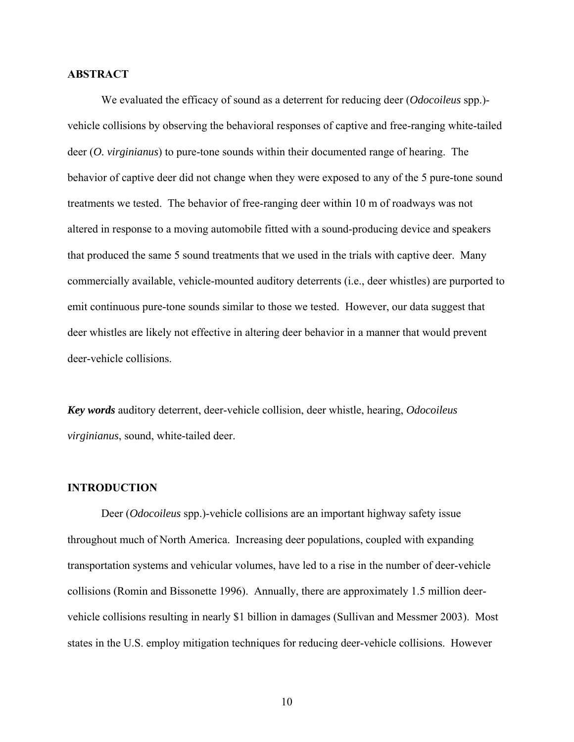### **ABSTRACT**

We evaluated the efficacy of sound as a deterrent for reducing deer (*Odocoileus* spp.) vehicle collisions by observing the behavioral responses of captive and free-ranging white-tailed deer (*O. virginianus*) to pure-tone sounds within their documented range of hearing. The behavior of captive deer did not change when they were exposed to any of the 5 pure-tone sound treatments we tested. The behavior of free-ranging deer within 10 m of roadways was not altered in response to a moving automobile fitted with a sound-producing device and speakers that produced the same 5 sound treatments that we used in the trials with captive deer. Many commercially available, vehicle-mounted auditory deterrents (i.e., deer whistles) are purported to emit continuous pure-tone sounds similar to those we tested. However, our data suggest that deer whistles are likely not effective in altering deer behavior in a manner that would prevent deer-vehicle collisions.

*Key words* auditory deterrent, deer-vehicle collision, deer whistle, hearing, *Odocoileus virginianus*, sound, white-tailed deer.

### **INTRODUCTION**

Deer (*Odocoileus* spp.)-vehicle collisions are an important highway safety issue throughout much of North America. Increasing deer populations, coupled with expanding transportation systems and vehicular volumes, have led to a rise in the number of deer-vehicle collisions (Romin and Bissonette 1996). Annually, there are approximately 1.5 million deervehicle collisions resulting in nearly \$1 billion in damages (Sullivan and Messmer 2003). Most states in the U.S. employ mitigation techniques for reducing deer-vehicle collisions. However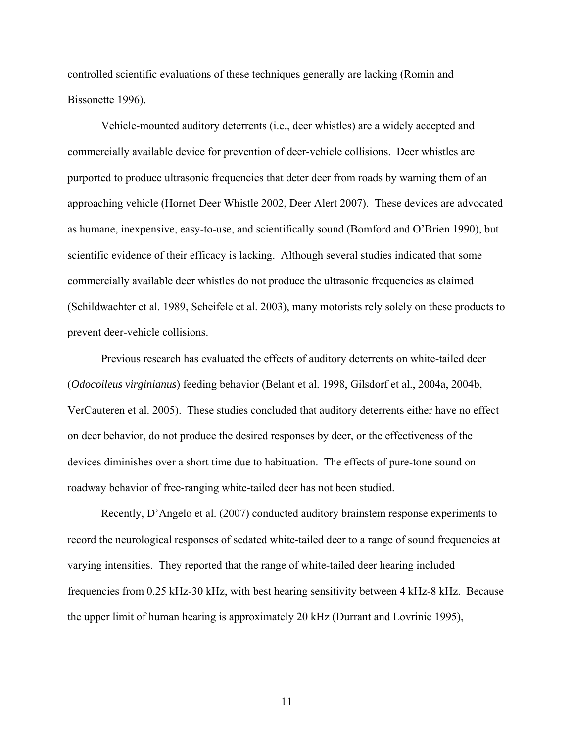controlled scientific evaluations of these techniques generally are lacking (Romin and Bissonette 1996).

Vehicle-mounted auditory deterrents (i.e., deer whistles) are a widely accepted and commercially available device for prevention of deer-vehicle collisions. Deer whistles are purported to produce ultrasonic frequencies that deter deer from roads by warning them of an approaching vehicle (Hornet Deer Whistle 2002, Deer Alert 2007). These devices are advocated as humane, inexpensive, easy-to-use, and scientifically sound (Bomford and O'Brien 1990), but scientific evidence of their efficacy is lacking. Although several studies indicated that some commercially available deer whistles do not produce the ultrasonic frequencies as claimed (Schildwachter et al. 1989, Scheifele et al. 2003), many motorists rely solely on these products to prevent deer-vehicle collisions.

Previous research has evaluated the effects of auditory deterrents on white-tailed deer (*Odocoileus virginianus*) feeding behavior (Belant et al. 1998, Gilsdorf et al., 2004a, 2004b, VerCauteren et al. 2005). These studies concluded that auditory deterrents either have no effect on deer behavior, do not produce the desired responses by deer, or the effectiveness of the devices diminishes over a short time due to habituation. The effects of pure-tone sound on roadway behavior of free-ranging white-tailed deer has not been studied.

Recently, D'Angelo et al. (2007) conducted auditory brainstem response experiments to record the neurological responses of sedated white-tailed deer to a range of sound frequencies at varying intensities. They reported that the range of white-tailed deer hearing included frequencies from 0.25 kHz-30 kHz, with best hearing sensitivity between 4 kHz-8 kHz. Because the upper limit of human hearing is approximately 20 kHz (Durrant and Lovrinic 1995),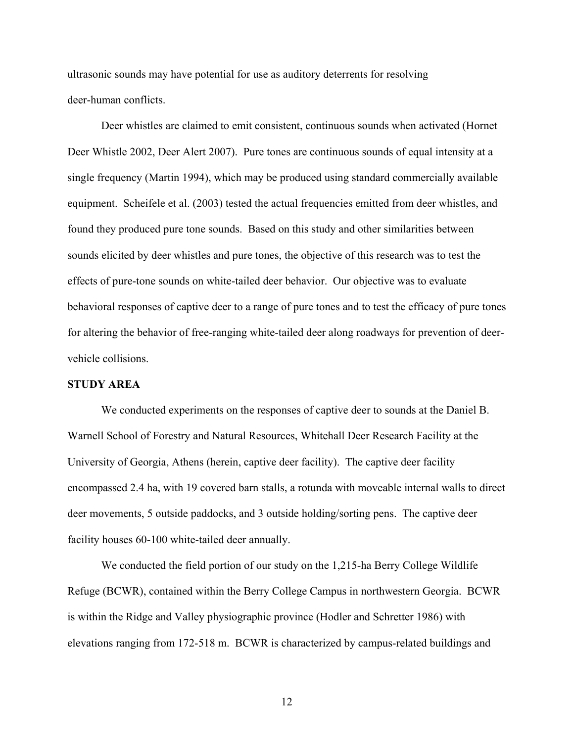ultrasonic sounds may have potential for use as auditory deterrents for resolving deer-human conflicts.

Deer whistles are claimed to emit consistent, continuous sounds when activated (Hornet Deer Whistle 2002, Deer Alert 2007). Pure tones are continuous sounds of equal intensity at a single frequency (Martin 1994), which may be produced using standard commercially available equipment. Scheifele et al. (2003) tested the actual frequencies emitted from deer whistles, and found they produced pure tone sounds. Based on this study and other similarities between sounds elicited by deer whistles and pure tones, the objective of this research was to test the effects of pure-tone sounds on white-tailed deer behavior. Our objective was to evaluate behavioral responses of captive deer to a range of pure tones and to test the efficacy of pure tones for altering the behavior of free-ranging white-tailed deer along roadways for prevention of deervehicle collisions.

### **STUDY AREA**

We conducted experiments on the responses of captive deer to sounds at the Daniel B. Warnell School of Forestry and Natural Resources, Whitehall Deer Research Facility at the University of Georgia, Athens (herein, captive deer facility). The captive deer facility encompassed 2.4 ha, with 19 covered barn stalls, a rotunda with moveable internal walls to direct deer movements, 5 outside paddocks, and 3 outside holding/sorting pens. The captive deer facility houses 60-100 white-tailed deer annually.

We conducted the field portion of our study on the 1,215-ha Berry College Wildlife Refuge (BCWR), contained within the Berry College Campus in northwestern Georgia. BCWR is within the Ridge and Valley physiographic province (Hodler and Schretter 1986) with elevations ranging from 172-518 m. BCWR is characterized by campus-related buildings and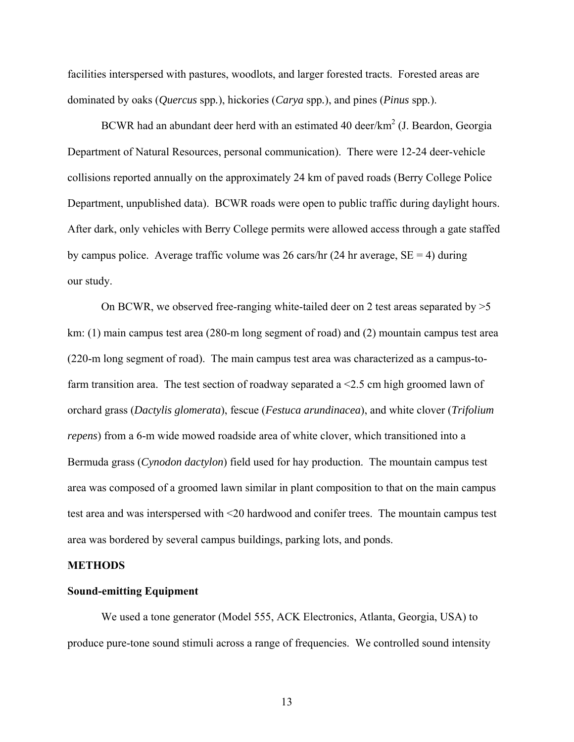facilities interspersed with pastures, woodlots, and larger forested tracts. Forested areas are dominated by oaks (*Quercus* spp*.*), hickories (*Carya* spp*.*), and pines (*Pinus* spp*.*).

BCWR had an abundant deer herd with an estimated 40 deer/ $km^2$  (J. Beardon, Georgia Department of Natural Resources, personal communication). There were 12-24 deer-vehicle collisions reported annually on the approximately 24 km of paved roads (Berry College Police Department, unpublished data). BCWR roads were open to public traffic during daylight hours. After dark, only vehicles with Berry College permits were allowed access through a gate staffed by campus police. Average traffic volume was 26 cars/hr (24 hr average,  $SE = 4$ ) during our study.

On BCWR, we observed free-ranging white-tailed deer on 2 test areas separated by  $>5$ km: (1) main campus test area (280-m long segment of road) and (2) mountain campus test area (220-m long segment of road). The main campus test area was characterized as a campus-tofarm transition area. The test section of roadway separated a <2.5 cm high groomed lawn of orchard grass (*Dactylis glomerata*), fescue (*Festuca arundinacea*), and white clover (*Trifolium repens*) from a 6-m wide mowed roadside area of white clover, which transitioned into a Bermuda grass (*Cynodon dactylon*) field used for hay production. The mountain campus test area was composed of a groomed lawn similar in plant composition to that on the main campus test area and was interspersed with <20 hardwood and conifer trees. The mountain campus test area was bordered by several campus buildings, parking lots, and ponds.

#### **METHODS**

### **Sound-emitting Equipment**

 We used a tone generator (Model 555, ACK Electronics, Atlanta, Georgia, USA) to produce pure-tone sound stimuli across a range of frequencies. We controlled sound intensity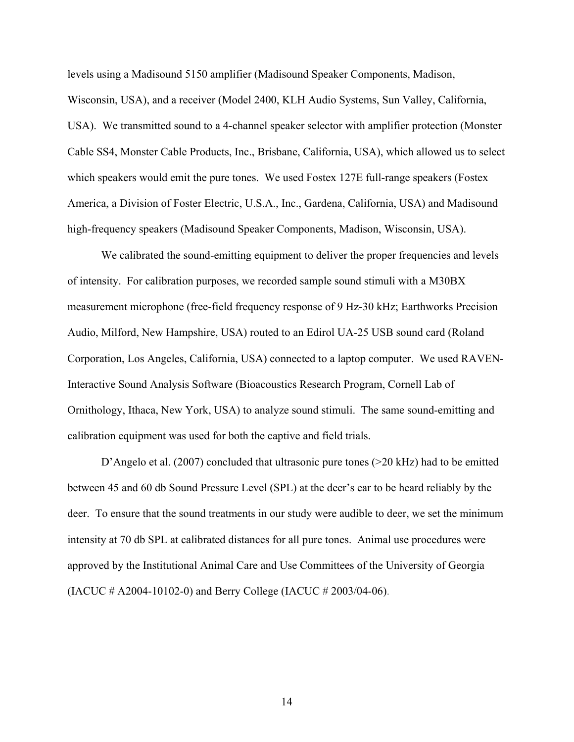levels using a Madisound 5150 amplifier (Madisound Speaker Components, Madison, Wisconsin, USA), and a receiver (Model 2400, KLH Audio Systems, Sun Valley, California, USA). We transmitted sound to a 4-channel speaker selector with amplifier protection (Monster Cable SS4, Monster Cable Products, Inc., Brisbane, California, USA), which allowed us to select which speakers would emit the pure tones. We used Fostex 127E full-range speakers (Fostex America, a Division of Foster Electric, U.S.A., Inc., Gardena, California, USA) and Madisound high-frequency speakers (Madisound Speaker Components, Madison, Wisconsin, USA).

We calibrated the sound-emitting equipment to deliver the proper frequencies and levels of intensity. For calibration purposes, we recorded sample sound stimuli with a M30BX measurement microphone (free-field frequency response of 9 Hz-30 kHz; Earthworks Precision Audio, Milford, New Hampshire, USA) routed to an Edirol UA-25 USB sound card (Roland Corporation, Los Angeles, California, USA) connected to a laptop computer. We used RAVEN-Interactive Sound Analysis Software (Bioacoustics Research Program, Cornell Lab of Ornithology, Ithaca, New York, USA) to analyze sound stimuli. The same sound-emitting and calibration equipment was used for both the captive and field trials.

D'Angelo et al. (2007) concluded that ultrasonic pure tones (>20 kHz) had to be emitted between 45 and 60 db Sound Pressure Level (SPL) at the deer's ear to be heard reliably by the deer. To ensure that the sound treatments in our study were audible to deer, we set the minimum intensity at 70 db SPL at calibrated distances for all pure tones. Animal use procedures were approved by the Institutional Animal Care and Use Committees of the University of Georgia (IACUC # A2004-10102-0) and Berry College (IACUC # 2003/04-06).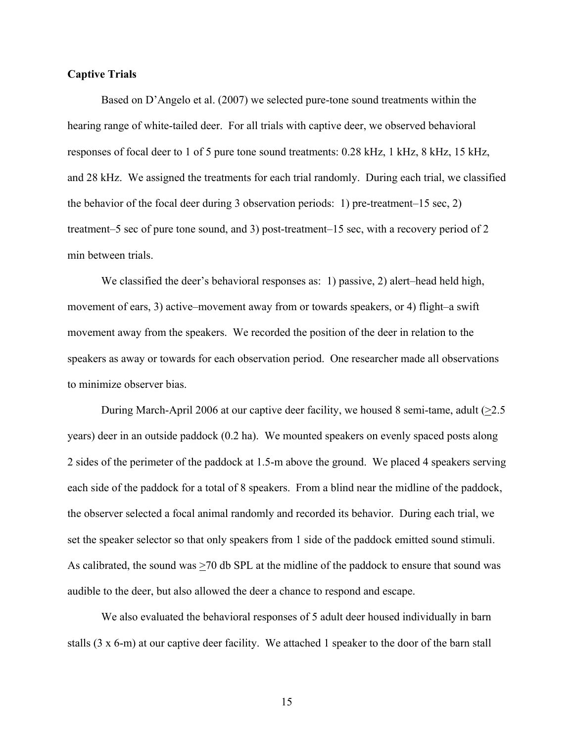### **Captive Trials**

Based on D'Angelo et al. (2007) we selected pure-tone sound treatments within the hearing range of white-tailed deer. For all trials with captive deer, we observed behavioral responses of focal deer to 1 of 5 pure tone sound treatments: 0.28 kHz, 1 kHz, 8 kHz, 15 kHz, and 28 kHz. We assigned the treatments for each trial randomly. During each trial, we classified the behavior of the focal deer during 3 observation periods: 1) pre-treatment–15 sec, 2) treatment–5 sec of pure tone sound, and 3) post-treatment–15 sec, with a recovery period of 2 min between trials.

We classified the deer's behavioral responses as: 1) passive, 2) alert–head held high, movement of ears, 3) active–movement away from or towards speakers, or 4) flight–a swift movement away from the speakers. We recorded the position of the deer in relation to the speakers as away or towards for each observation period. One researcher made all observations to minimize observer bias.

During March-April 2006 at our captive deer facility, we housed 8 semi-tame, adult  $(\geq 2.5)$ years) deer in an outside paddock (0.2 ha). We mounted speakers on evenly spaced posts along 2 sides of the perimeter of the paddock at 1.5-m above the ground. We placed 4 speakers serving each side of the paddock for a total of 8 speakers. From a blind near the midline of the paddock, the observer selected a focal animal randomly and recorded its behavior. During each trial, we set the speaker selector so that only speakers from 1 side of the paddock emitted sound stimuli. As calibrated, the sound was  $\geq$ 70 db SPL at the midline of the paddock to ensure that sound was audible to the deer, but also allowed the deer a chance to respond and escape.

We also evaluated the behavioral responses of 5 adult deer housed individually in barn stalls (3 x 6-m) at our captive deer facility. We attached 1 speaker to the door of the barn stall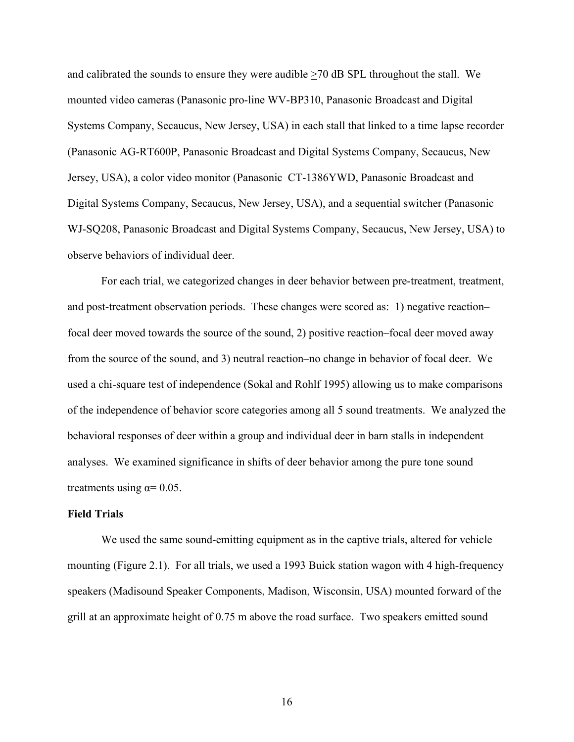and calibrated the sounds to ensure they were audible >70 dB SPL throughout the stall. We mounted video cameras (Panasonic pro-line WV-BP310, Panasonic Broadcast and Digital Systems Company, Secaucus, New Jersey, USA) in each stall that linked to a time lapse recorder (Panasonic AG-RT600P, Panasonic Broadcast and Digital Systems Company, Secaucus, New Jersey, USA), a color video monitor (Panasonic CT-1386YWD, Panasonic Broadcast and Digital Systems Company, Secaucus, New Jersey, USA), and a sequential switcher (Panasonic WJ-SQ208, Panasonic Broadcast and Digital Systems Company, Secaucus, New Jersey, USA) to observe behaviors of individual deer.

For each trial, we categorized changes in deer behavior between pre-treatment, treatment, and post-treatment observation periods. These changes were scored as: 1) negative reaction– focal deer moved towards the source of the sound, 2) positive reaction–focal deer moved away from the source of the sound, and 3) neutral reaction–no change in behavior of focal deer. We used a chi-square test of independence (Sokal and Rohlf 1995) allowing us to make comparisons of the independence of behavior score categories among all 5 sound treatments. We analyzed the behavioral responses of deer within a group and individual deer in barn stalls in independent analyses. We examined significance in shifts of deer behavior among the pure tone sound treatments using  $\alpha$ = 0.05.

### **Field Trials**

We used the same sound-emitting equipment as in the captive trials, altered for vehicle mounting (Figure 2.1). For all trials, we used a 1993 Buick station wagon with 4 high-frequency speakers (Madisound Speaker Components, Madison, Wisconsin, USA) mounted forward of the grill at an approximate height of 0.75 m above the road surface. Two speakers emitted sound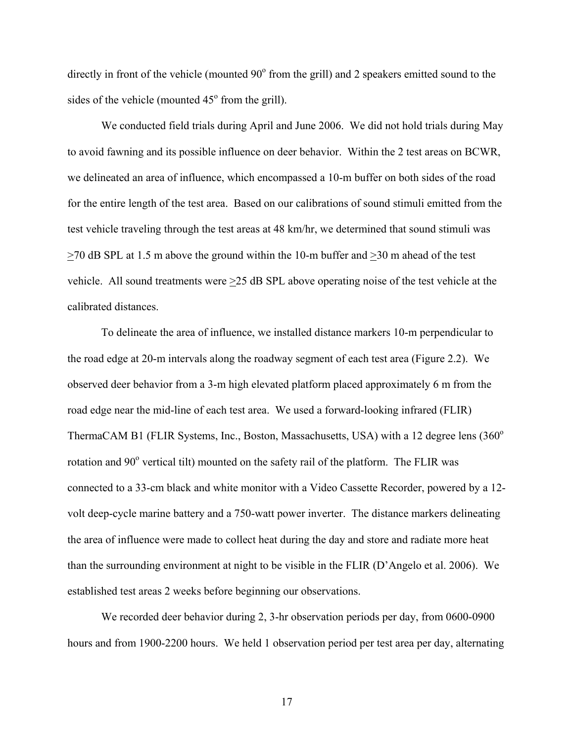directly in front of the vehicle (mounted 90° from the grill) and 2 speakers emitted sound to the sides of the vehicle (mounted  $45^{\circ}$  from the grill).

We conducted field trials during April and June 2006. We did not hold trials during May to avoid fawning and its possible influence on deer behavior. Within the 2 test areas on BCWR, we delineated an area of influence, which encompassed a 10-m buffer on both sides of the road for the entire length of the test area. Based on our calibrations of sound stimuli emitted from the test vehicle traveling through the test areas at 48 km/hr, we determined that sound stimuli was >70 dB SPL at 1.5 m above the ground within the 10-m buffer and >30 m ahead of the test vehicle. All sound treatments were >25 dB SPL above operating noise of the test vehicle at the calibrated distances.

To delineate the area of influence, we installed distance markers 10-m perpendicular to the road edge at 20-m intervals along the roadway segment of each test area (Figure 2.2). We observed deer behavior from a 3-m high elevated platform placed approximately 6 m from the road edge near the mid-line of each test area. We used a forward-looking infrared (FLIR) ThermaCAM B1 (FLIR Systems, Inc., Boston, Massachusetts, USA) with a 12 degree lens  $(360^{\circ}$ rotation and 90° vertical tilt) mounted on the safety rail of the platform. The FLIR was connected to a 33-cm black and white monitor with a Video Cassette Recorder, powered by a 12 volt deep-cycle marine battery and a 750-watt power inverter. The distance markers delineating the area of influence were made to collect heat during the day and store and radiate more heat than the surrounding environment at night to be visible in the FLIR (D'Angelo et al. 2006). We established test areas 2 weeks before beginning our observations.

We recorded deer behavior during 2, 3-hr observation periods per day, from 0600-0900 hours and from 1900-2200 hours. We held 1 observation period per test area per day, alternating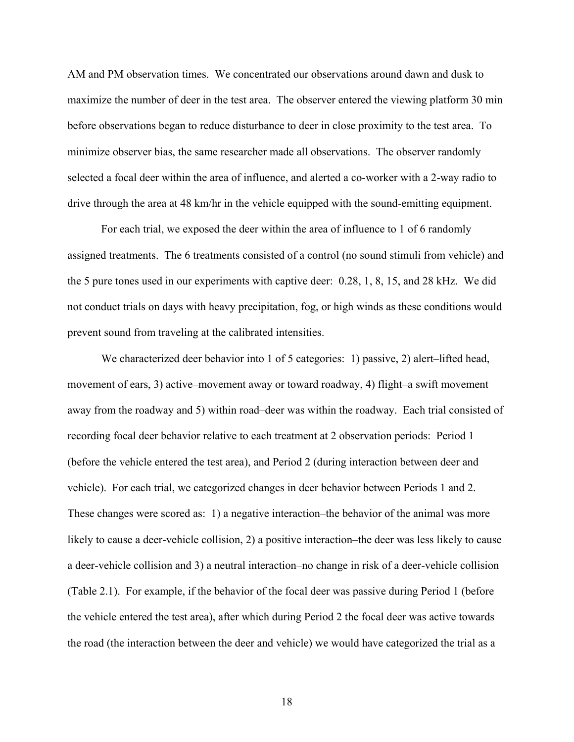AM and PM observation times. We concentrated our observations around dawn and dusk to maximize the number of deer in the test area. The observer entered the viewing platform 30 min before observations began to reduce disturbance to deer in close proximity to the test area. To minimize observer bias, the same researcher made all observations. The observer randomly selected a focal deer within the area of influence, and alerted a co-worker with a 2-way radio to drive through the area at 48 km/hr in the vehicle equipped with the sound-emitting equipment.

For each trial, we exposed the deer within the area of influence to 1 of 6 randomly assigned treatments. The 6 treatments consisted of a control (no sound stimuli from vehicle) and the 5 pure tones used in our experiments with captive deer: 0.28, 1, 8, 15, and 28 kHz. We did not conduct trials on days with heavy precipitation, fog, or high winds as these conditions would prevent sound from traveling at the calibrated intensities.

We characterized deer behavior into 1 of 5 categories: 1) passive, 2) alert–lifted head, movement of ears, 3) active–movement away or toward roadway, 4) flight–a swift movement away from the roadway and 5) within road–deer was within the roadway. Each trial consisted of recording focal deer behavior relative to each treatment at 2 observation periods: Period 1 (before the vehicle entered the test area), and Period 2 (during interaction between deer and vehicle). For each trial, we categorized changes in deer behavior between Periods 1 and 2. These changes were scored as: 1) a negative interaction–the behavior of the animal was more likely to cause a deer-vehicle collision, 2) a positive interaction–the deer was less likely to cause a deer-vehicle collision and 3) a neutral interaction–no change in risk of a deer-vehicle collision (Table 2.1). For example, if the behavior of the focal deer was passive during Period 1 (before the vehicle entered the test area), after which during Period 2 the focal deer was active towards the road (the interaction between the deer and vehicle) we would have categorized the trial as a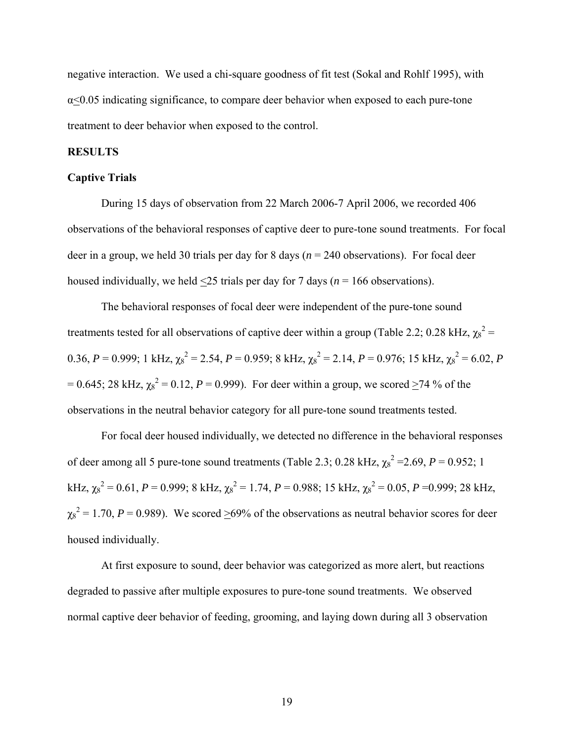negative interaction. We used a chi-square goodness of fit test (Sokal and Rohlf 1995), with  $\alpha$ <0.05 indicating significance, to compare deer behavior when exposed to each pure-tone treatment to deer behavior when exposed to the control.

### **RESULTS**

### **Captive Trials**

 During 15 days of observation from 22 March 2006-7 April 2006, we recorded 406 observations of the behavioral responses of captive deer to pure-tone sound treatments. For focal deer in a group, we held 30 trials per day for 8 days (*n* = 240 observations). For focal deer housed individually, we held <25 trials per day for 7 days (*n* = 166 observations).

The behavioral responses of focal deer were independent of the pure-tone sound treatments tested for all observations of captive deer within a group (Table 2.2; 0.28 kHz,  $\chi_8^2$  = 0.36, *P* = 0.999; 1 kHz,  $\chi_8^2 = 2.54$ , *P* = 0.959; 8 kHz,  $\chi_8^2 = 2.14$ , *P* = 0.976; 15 kHz,  $\chi_8^2 = 6.02$ , *P*  $= 0.645$ ; 28 kHz,  $\chi_8^2 = 0.12$ ,  $P = 0.999$ ). For deer within a group, we scored  $\geq 74$  % of the observations in the neutral behavior category for all pure-tone sound treatments tested.

For focal deer housed individually, we detected no difference in the behavioral responses of deer among all 5 pure-tone sound treatments (Table 2.3; 0.28 kHz,  $\chi_8^2$  = 2.69, *P* = 0.952; 1 kHz,  $\chi_8^2 = 0.61$ ,  $P = 0.999$ ; 8 kHz,  $\chi_8^2 = 1.74$ ,  $P = 0.988$ ; 15 kHz,  $\chi_8^2 = 0.05$ ,  $P = 0.999$ ; 28 kHz,  $\chi_8^2$  = 1.70, *P* = 0.989). We scored  $\geq$ 69% of the observations as neutral behavior scores for deer housed individually.

At first exposure to sound, deer behavior was categorized as more alert, but reactions degraded to passive after multiple exposures to pure-tone sound treatments. We observed normal captive deer behavior of feeding, grooming, and laying down during all 3 observation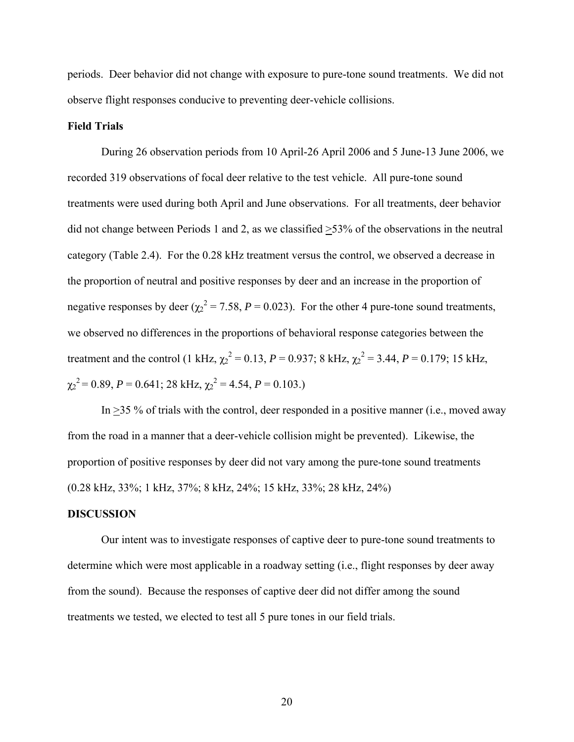periods. Deer behavior did not change with exposure to pure-tone sound treatments. We did not observe flight responses conducive to preventing deer-vehicle collisions.

### **Field Trials**

During 26 observation periods from 10 April-26 April 2006 and 5 June-13 June 2006, we recorded 319 observations of focal deer relative to the test vehicle. All pure-tone sound treatments were used during both April and June observations. For all treatments, deer behavior did not change between Periods 1 and 2, as we classified >53% of the observations in the neutral category (Table 2.4). For the 0.28 kHz treatment versus the control, we observed a decrease in the proportion of neutral and positive responses by deer and an increase in the proportion of negative responses by deer  $(\chi^2 = 7.58, P = 0.023)$ . For the other 4 pure-tone sound treatments, we observed no differences in the proportions of behavioral response categories between the treatment and the control (1 kHz,  $\chi_2^2 = 0.13$ ,  $P = 0.937$ ; 8 kHz,  $\chi_2^2 = 3.44$ ,  $P = 0.179$ ; 15 kHz,  $\chi_2^2 = 0.89$ ,  $P = 0.641$ ; 28 kHz,  $\chi_2^2 = 4.54$ ,  $P = 0.103$ .)

In  $\geq$ 35 % of trials with the control, deer responded in a positive manner (i.e., moved away from the road in a manner that a deer-vehicle collision might be prevented). Likewise, the proportion of positive responses by deer did not vary among the pure-tone sound treatments (0.28 kHz, 33%; 1 kHz, 37%; 8 kHz, 24%; 15 kHz, 33%; 28 kHz, 24%)

#### **DISCUSSION**

Our intent was to investigate responses of captive deer to pure-tone sound treatments to determine which were most applicable in a roadway setting (i.e., flight responses by deer away from the sound). Because the responses of captive deer did not differ among the sound treatments we tested, we elected to test all 5 pure tones in our field trials.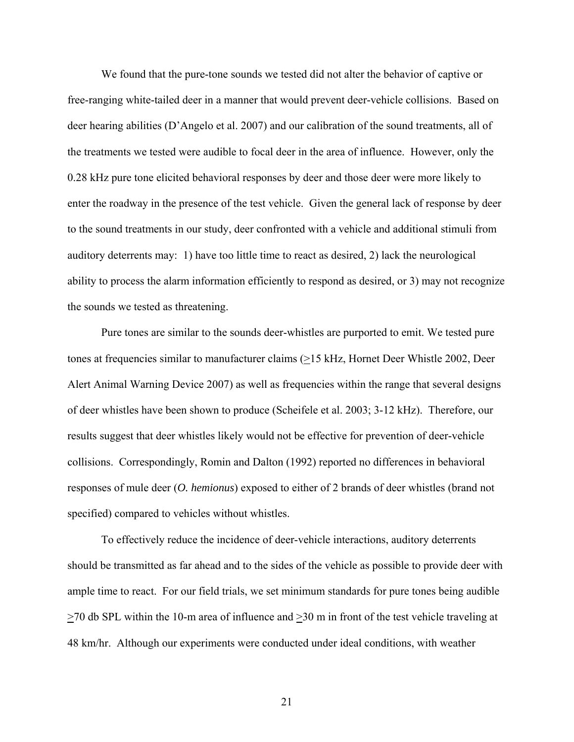We found that the pure-tone sounds we tested did not alter the behavior of captive or free-ranging white-tailed deer in a manner that would prevent deer-vehicle collisions. Based on deer hearing abilities (D'Angelo et al. 2007) and our calibration of the sound treatments, all of the treatments we tested were audible to focal deer in the area of influence. However, only the 0.28 kHz pure tone elicited behavioral responses by deer and those deer were more likely to enter the roadway in the presence of the test vehicle. Given the general lack of response by deer to the sound treatments in our study, deer confronted with a vehicle and additional stimuli from auditory deterrents may: 1) have too little time to react as desired, 2) lack the neurological ability to process the alarm information efficiently to respond as desired, or 3) may not recognize the sounds we tested as threatening.

Pure tones are similar to the sounds deer-whistles are purported to emit. We tested pure tones at frequencies similar to manufacturer claims (>15 kHz, Hornet Deer Whistle 2002, Deer Alert Animal Warning Device 2007) as well as frequencies within the range that several designs of deer whistles have been shown to produce (Scheifele et al. 2003; 3-12 kHz). Therefore, our results suggest that deer whistles likely would not be effective for prevention of deer-vehicle collisions. Correspondingly, Romin and Dalton (1992) reported no differences in behavioral responses of mule deer (*O. hemionus*) exposed to either of 2 brands of deer whistles (brand not specified) compared to vehicles without whistles.

To effectively reduce the incidence of deer-vehicle interactions, auditory deterrents should be transmitted as far ahead and to the sides of the vehicle as possible to provide deer with ample time to react. For our field trials, we set minimum standards for pure tones being audible >70 db SPL within the 10-m area of influence and >30 m in front of the test vehicle traveling at 48 km/hr. Although our experiments were conducted under ideal conditions, with weather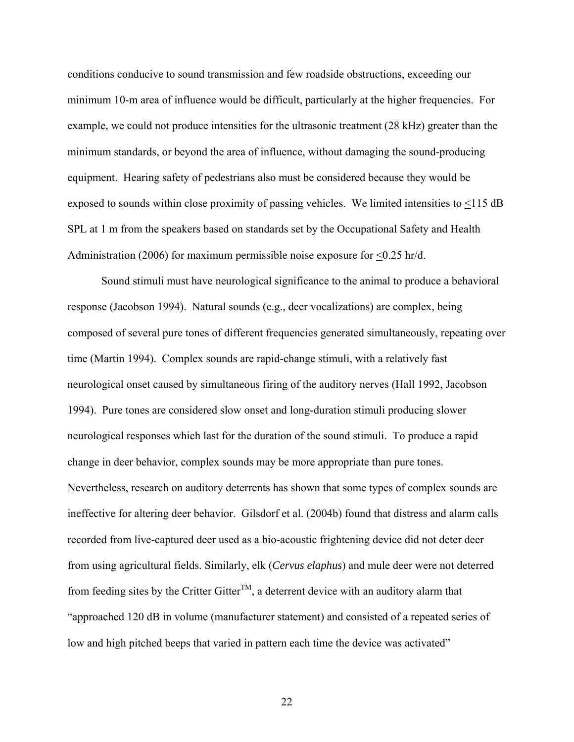conditions conducive to sound transmission and few roadside obstructions, exceeding our minimum 10-m area of influence would be difficult, particularly at the higher frequencies. For example, we could not produce intensities for the ultrasonic treatment (28 kHz) greater than the minimum standards, or beyond the area of influence, without damaging the sound-producing equipment. Hearing safety of pedestrians also must be considered because they would be exposed to sounds within close proximity of passing vehicles. We limited intensities to <115 dB SPL at 1 m from the speakers based on standards set by the Occupational Safety and Health Administration (2006) for maximum permissible noise exposure for <0.25 hr/d.

Sound stimuli must have neurological significance to the animal to produce a behavioral response (Jacobson 1994). Natural sounds (e.g., deer vocalizations) are complex, being composed of several pure tones of different frequencies generated simultaneously, repeating over time (Martin 1994). Complex sounds are rapid-change stimuli, with a relatively fast neurological onset caused by simultaneous firing of the auditory nerves (Hall 1992, Jacobson 1994). Pure tones are considered slow onset and long-duration stimuli producing slower neurological responses which last for the duration of the sound stimuli. To produce a rapid change in deer behavior, complex sounds may be more appropriate than pure tones. Nevertheless, research on auditory deterrents has shown that some types of complex sounds are ineffective for altering deer behavior. Gilsdorf et al. (2004b) found that distress and alarm calls recorded from live-captured deer used as a bio-acoustic frightening device did not deter deer from using agricultural fields. Similarly, elk (*Cervus elaphus*) and mule deer were not deterred from feeding sites by the Critter Gitter<sup>TM</sup>, a deterrent device with an auditory alarm that "approached 120 dB in volume (manufacturer statement) and consisted of a repeated series of low and high pitched beeps that varied in pattern each time the device was activated"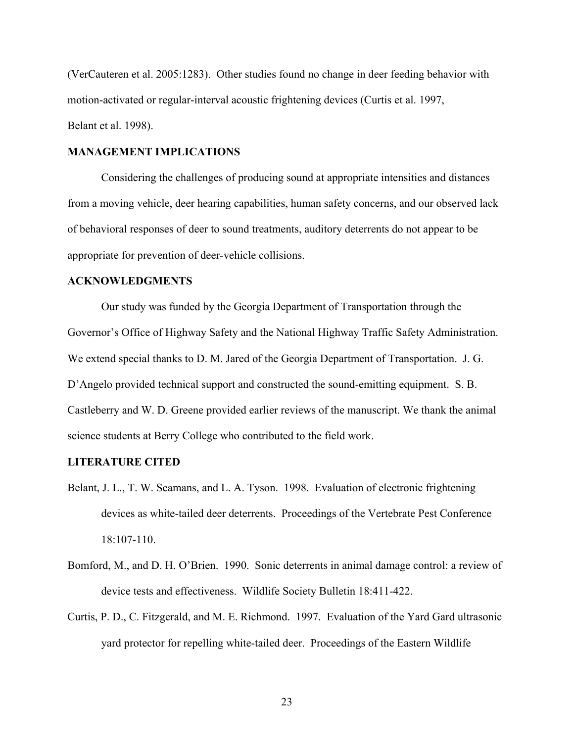(VerCauteren et al. 2005:1283). Other studies found no change in deer feeding behavior with motion-activated or regular-interval acoustic frightening devices (Curtis et al. 1997, Belant et al. 1998).

### **MANAGEMENT IMPLICATIONS**

Considering the challenges of producing sound at appropriate intensities and distances from a moving vehicle, deer hearing capabilities, human safety concerns, and our observed lack of behavioral responses of deer to sound treatments, auditory deterrents do not appear to be appropriate for prevention of deer-vehicle collisions.

### **ACKNOWLEDGMENTS**

Our study was funded by the Georgia Department of Transportation through the Governor's Office of Highway Safety and the National Highway Traffic Safety Administration. We extend special thanks to D. M. Jared of the Georgia Department of Transportation. J. G. D'Angelo provided technical support and constructed the sound-emitting equipment. S. B. Castleberry and W. D. Greene provided earlier reviews of the manuscript. We thank the animal science students at Berry College who contributed to the field work.

#### **LITERATURE CITED**

- Belant, J. L., T. W. Seamans, and L. A. Tyson. 1998. Evaluation of electronic frightening devices as white-tailed deer deterrents. Proceedings of the Vertebrate Pest Conference 18:107-110.
- Bomford, M., and D. H. O'Brien. 1990. Sonic deterrents in animal damage control: a review of device tests and effectiveness. Wildlife Society Bulletin 18:411-422.
- Curtis, P. D., C. Fitzgerald, and M. E. Richmond. 1997. Evaluation of the Yard Gard ultrasonic yard protector for repelling white-tailed deer. Proceedings of the Eastern Wildlife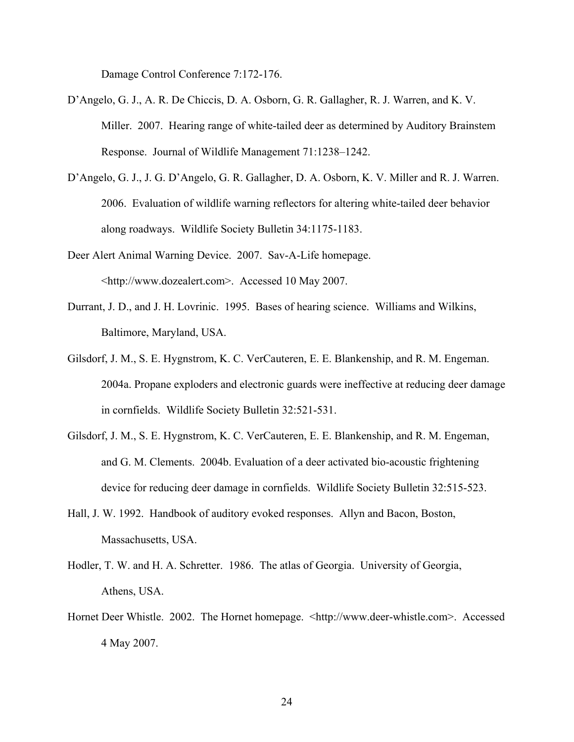Damage Control Conference 7:172-176.

- D'Angelo, G. J., A. R. De Chiccis, D. A. Osborn, G. R. Gallagher, R. J. Warren, and K. V. Miller. 2007. Hearing range of white-tailed deer as determined by Auditory Brainstem Response. Journal of Wildlife Management 71:1238–1242.
- D'Angelo, G. J., J. G. D'Angelo, G. R. Gallagher, D. A. Osborn, K. V. Miller and R. J. Warren. 2006. Evaluation of wildlife warning reflectors for altering white-tailed deer behavior along roadways. Wildlife Society Bulletin 34:1175-1183.
- Deer Alert Animal Warning Device. 2007. Sav-A-Life homepage. <http://www.dozealert.com>. Accessed 10 May 2007.
- Durrant, J. D., and J. H. Lovrinic. 1995. Bases of hearing science. Williams and Wilkins, Baltimore, Maryland, USA.
- Gilsdorf, J. M., S. E. Hygnstrom, K. C. VerCauteren, E. E. Blankenship, and R. M. Engeman. 2004a. Propane exploders and electronic guards were ineffective at reducing deer damage in cornfields. Wildlife Society Bulletin 32:521-531.
- Gilsdorf, J. M., S. E. Hygnstrom, K. C. VerCauteren, E. E. Blankenship, and R. M. Engeman, and G. M. Clements. 2004b. Evaluation of a deer activated bio-acoustic frightening device for reducing deer damage in cornfields. Wildlife Society Bulletin 32:515-523.
- Hall, J. W. 1992. Handbook of auditory evoked responses. Allyn and Bacon, Boston, Massachusetts, USA.
- Hodler, T. W. and H. A. Schretter. 1986. The atlas of Georgia. University of Georgia, Athens, USA.
- Hornet Deer Whistle. 2002. The Hornet homepage. <http://www.deer-whistle.com>. Accessed 4 May 2007.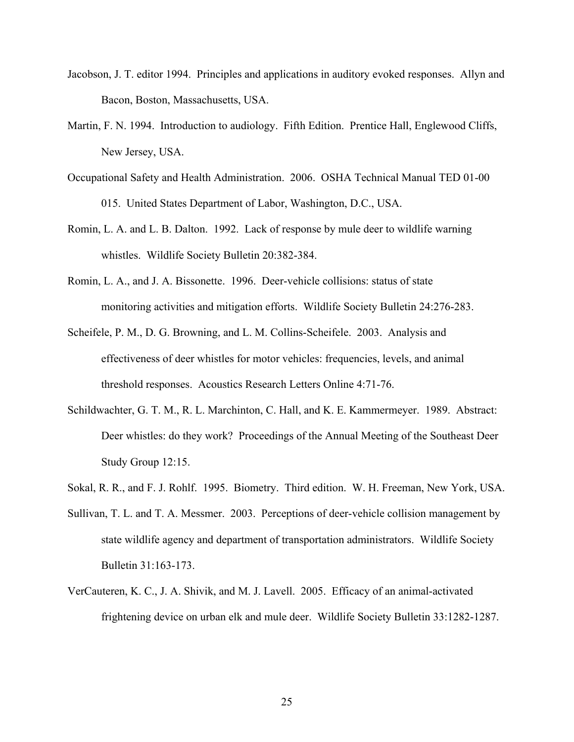- Jacobson, J. T. editor 1994. Principles and applications in auditory evoked responses. Allyn and Bacon, Boston, Massachusetts, USA.
- Martin, F. N. 1994. Introduction to audiology. Fifth Edition. Prentice Hall, Englewood Cliffs, New Jersey, USA.
- Occupational Safety and Health Administration. 2006. OSHA Technical Manual TED 01-00 015. United States Department of Labor, Washington, D.C., USA.
- Romin, L. A. and L. B. Dalton. 1992. Lack of response by mule deer to wildlife warning whistles. Wildlife Society Bulletin 20:382-384.
- Romin, L. A., and J. A. Bissonette. 1996. Deer-vehicle collisions: status of state monitoring activities and mitigation efforts. Wildlife Society Bulletin 24:276-283.
- Scheifele, P. M., D. G. Browning, and L. M. Collins-Scheifele. 2003. Analysis and effectiveness of deer whistles for motor vehicles: frequencies, levels, and animal threshold responses. Acoustics Research Letters Online 4:71-76.
- Schildwachter, G. T. M., R. L. Marchinton, C. Hall, and K. E. Kammermeyer. 1989. Abstract: Deer whistles: do they work? Proceedings of the Annual Meeting of the Southeast Deer Study Group 12:15.
- Sokal, R. R., and F. J. Rohlf. 1995. Biometry. Third edition. W. H. Freeman, New York, USA.
- Sullivan, T. L. and T. A. Messmer. 2003. Perceptions of deer-vehicle collision management by state wildlife agency and department of transportation administrators. Wildlife Society Bulletin 31:163-173.
- VerCauteren, K. C., J. A. Shivik, and M. J. Lavell. 2005. Efficacy of an animal-activated frightening device on urban elk and mule deer. Wildlife Society Bulletin 33:1282-1287.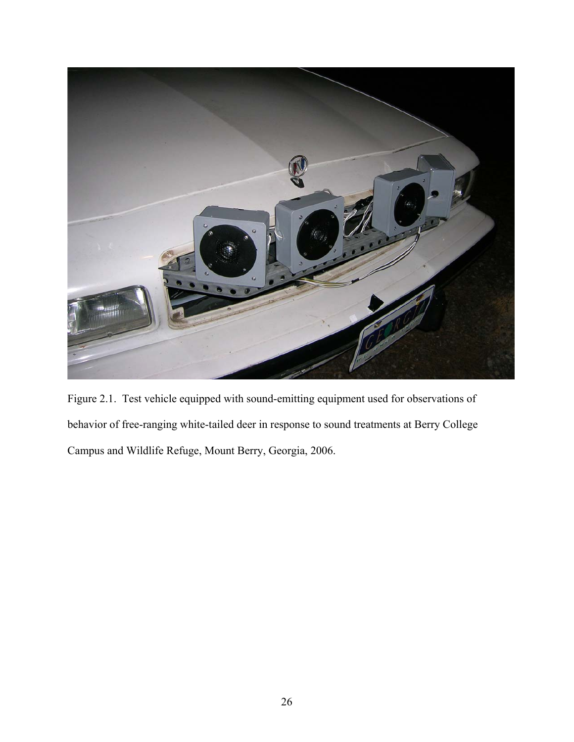

Figure 2.1. Test vehicle equipped with sound-emitting equipment used for observations of behavior of free-ranging white-tailed deer in response to sound treatments at Berry College Campus and Wildlife Refuge, Mount Berry, Georgia, 2006.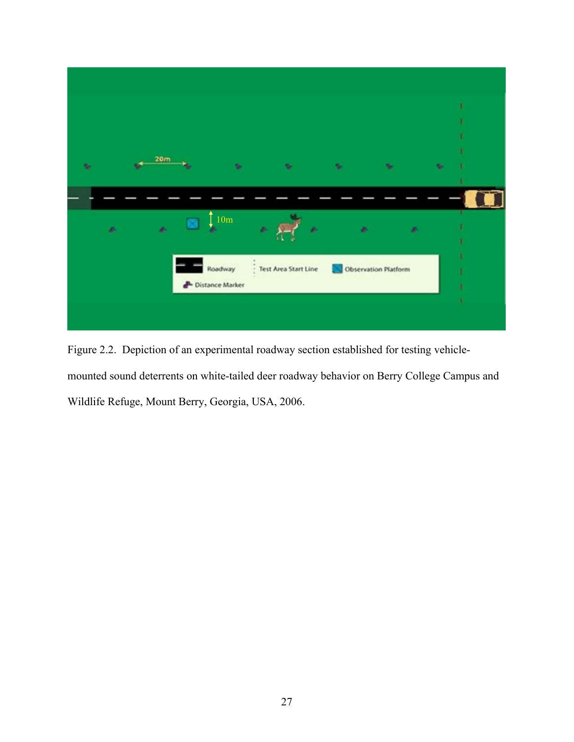

Figure 2.2. Depiction of an experimental roadway section established for testing vehiclemounted sound deterrents on white-tailed deer roadway behavior on Berry College Campus and Wildlife Refuge, Mount Berry, Georgia, USA, 2006.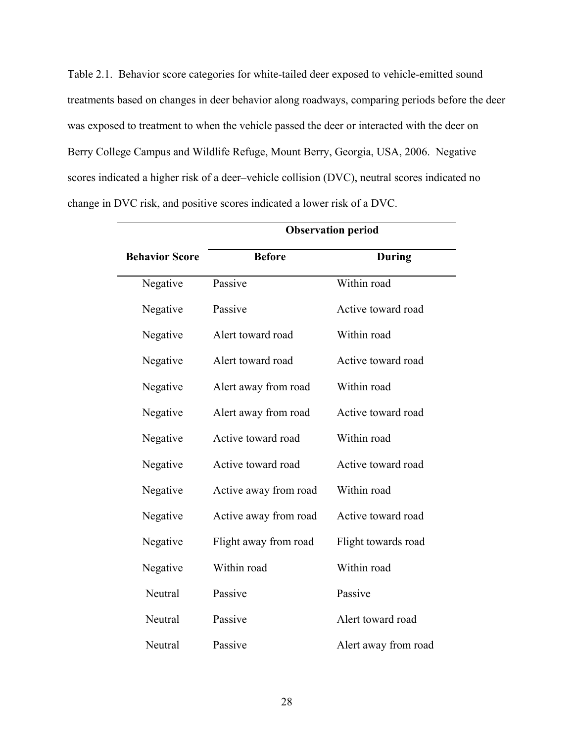Table 2.1. Behavior score categories for white-tailed deer exposed to vehicle-emitted sound treatments based on changes in deer behavior along roadways, comparing periods before the deer was exposed to treatment to when the vehicle passed the deer or interacted with the deer on Berry College Campus and Wildlife Refuge, Mount Berry, Georgia, USA, 2006. Negative scores indicated a higher risk of a deer–vehicle collision (DVC), neutral scores indicated no change in DVC risk, and positive scores indicated a lower risk of a DVC.

 $\overline{\phantom{0}}$ 

|                       | <b>Observation period</b> |                      |  |  |  |  |
|-----------------------|---------------------------|----------------------|--|--|--|--|
| <b>Behavior Score</b> | <b>Before</b>             | <b>During</b>        |  |  |  |  |
| Negative              | Passive                   | Within road          |  |  |  |  |
| Negative              | Passive                   | Active toward road   |  |  |  |  |
| Negative              | Alert toward road         | Within road          |  |  |  |  |
| Negative              | Alert toward road         | Active toward road   |  |  |  |  |
| Negative              | Alert away from road      | Within road          |  |  |  |  |
| Negative              | Alert away from road      | Active toward road   |  |  |  |  |
| Negative              | Active toward road        | Within road          |  |  |  |  |
| Negative              | Active toward road        | Active toward road   |  |  |  |  |
| Negative              | Active away from road     | Within road          |  |  |  |  |
| Negative              | Active away from road     | Active toward road   |  |  |  |  |
| Negative              | Flight away from road     | Flight towards road  |  |  |  |  |
| Negative              | Within road               | Within road          |  |  |  |  |
| Neutral               | Passive                   | Passive              |  |  |  |  |
| Neutral               | Passive                   | Alert toward road    |  |  |  |  |
| Neutral               | Passive                   | Alert away from road |  |  |  |  |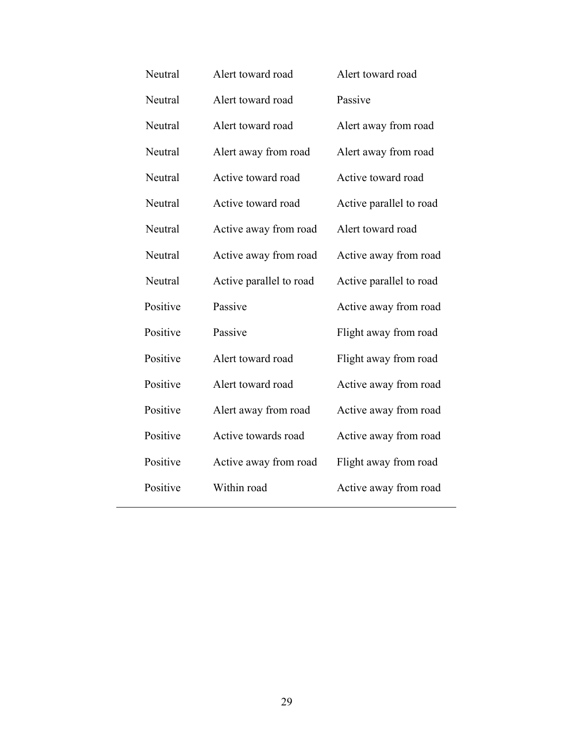| Neutral  | Alert toward road       | Alert toward road       |
|----------|-------------------------|-------------------------|
| Neutral  | Alert toward road       | Passive                 |
| Neutral  | Alert toward road       | Alert away from road    |
| Neutral  | Alert away from road    | Alert away from road    |
| Neutral  | Active toward road      | Active toward road      |
| Neutral  | Active toward road      | Active parallel to road |
| Neutral  | Active away from road   | Alert toward road       |
| Neutral  | Active away from road   | Active away from road   |
| Neutral  | Active parallel to road | Active parallel to road |
| Positive | Passive                 | Active away from road   |
| Positive | Passive                 | Flight away from road   |
| Positive | Alert toward road       | Flight away from road   |
| Positive | Alert toward road       | Active away from road   |
| Positive | Alert away from road    | Active away from road   |
| Positive | Active towards road     | Active away from road   |
| Positive | Active away from road   | Flight away from road   |
| Positive | Within road             | Active away from road   |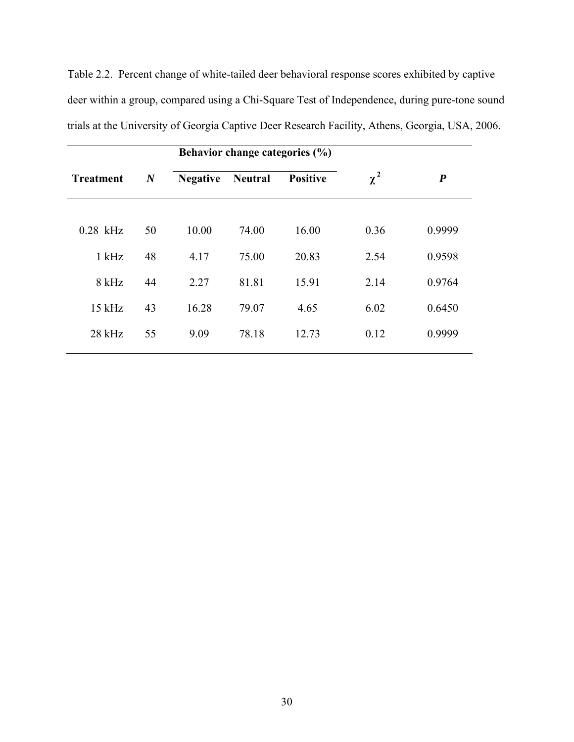Table 2.2. Percent change of white-tailed deer behavioral response scores exhibited by captive deer within a group, compared using a Chi-Square Test of Independence, during pure-tone sound trials at the University of Georgia Captive Deer Research Facility, Athens, Georgia, USA, 2006.

|                  |                  | Behavior change categories (%) |                |                 |          |                  |  |
|------------------|------------------|--------------------------------|----------------|-----------------|----------|------------------|--|
| <b>Treatment</b> | $\boldsymbol{N}$ | <b>Negative</b>                | <b>Neutral</b> | <b>Positive</b> | $\chi^2$ | $\boldsymbol{P}$ |  |
|                  |                  |                                |                |                 |          |                  |  |
| $0.28$ kHz       | 50               | 10.00                          | 74.00          | 16.00           | 0.36     | 0.9999           |  |
| $1$ kHz          | 48               | 4.17                           | 75.00          | 20.83           | 2.54     | 0.9598           |  |
| $8$ kHz          | 44               | 2.27                           | 81.81          | 15.91           | 2.14     | 0.9764           |  |
| $15$ kHz         | 43               | 16.28                          | 79.07          | 4.65            | 6.02     | 0.6450           |  |
| $28$ kHz         | 55               | 9.09                           | 78.18          | 12.73           | 0.12     | 0.9999           |  |
|                  |                  |                                |                |                 |          |                  |  |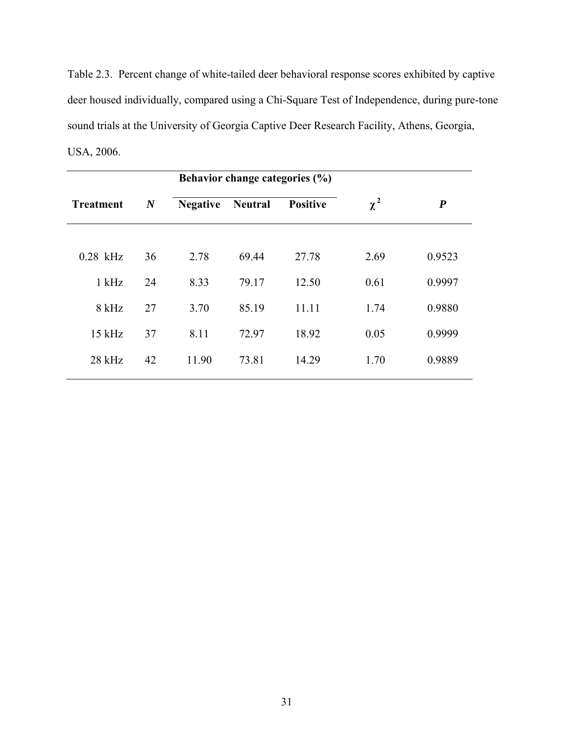Table 2.3. Percent change of white-tailed deer behavioral response scores exhibited by captive deer housed individually, compared using a Chi-Square Test of Independence, during pure-tone sound trials at the University of Georgia Captive Deer Research Facility, Athens, Georgia, USA, 2006.

|                  |                  | Behavior change categories (%) |                |                 |          |                  |
|------------------|------------------|--------------------------------|----------------|-----------------|----------|------------------|
| <b>Treatment</b> | $\boldsymbol{N}$ | <b>Negative</b>                | <b>Neutral</b> | <b>Positive</b> | $\chi^2$ | $\boldsymbol{P}$ |
|                  |                  |                                |                |                 |          |                  |
| $0.28$ kHz       | 36               | 2.78                           | 69.44          | 27.78           | 2.69     | 0.9523           |
| $1$ kHz          | 24               | 8.33                           | 79.17          | 12.50           | 0.61     | 0.9997           |
| 8 kHz            | 27               | 3.70                           | 85.19          | 11.11           | 1.74     | 0.9880           |
| $15$ kHz         | 37               | 8.11                           | 72.97          | 18.92           | 0.05     | 0.9999           |
| $28$ kHz         | 42               | 11.90                          | 73.81          | 14.29           | 1.70     | 0.9889           |
|                  |                  |                                |                |                 |          |                  |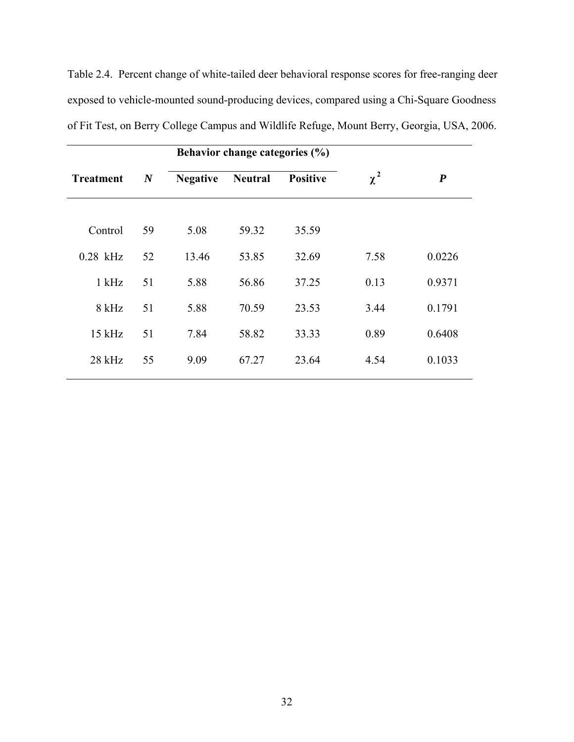|                  |                  | Behavior change categories (%) |                |                 |          |                  |
|------------------|------------------|--------------------------------|----------------|-----------------|----------|------------------|
| <b>Treatment</b> | $\boldsymbol{N}$ | <b>Negative</b>                | <b>Neutral</b> | <b>Positive</b> | $\chi^2$ | $\boldsymbol{P}$ |
| Control          | 59               | 5.08                           | 59.32          | 35.59           |          |                  |
| $0.28$ kHz       | 52               | 13.46                          | 53.85          | 32.69           | 7.58     | 0.0226           |
| $1$ kHz          | 51               | 5.88                           | 56.86          | 37.25           | 0.13     | 0.9371           |
| 8 kHz            | 51               | 5.88                           | 70.59          | 23.53           | 3.44     | 0.1791           |
| $15$ kHz         | 51               | 7.84                           | 58.82          | 33.33           | 0.89     | 0.6408           |
| $28$ kHz         | 55               | 9.09                           | 67.27          | 23.64           | 4.54     | 0.1033           |
|                  |                  |                                |                |                 |          |                  |

of Fit Test, on Berry College Campus and Wildlife Refuge, Mount Berry, Georgia, USA, 2006.

exposed to vehicle-mounted sound-producing devices, compared using a Chi-Square Goodness

Table 2.4. Percent change of white-tailed deer behavioral response scores for free-ranging deer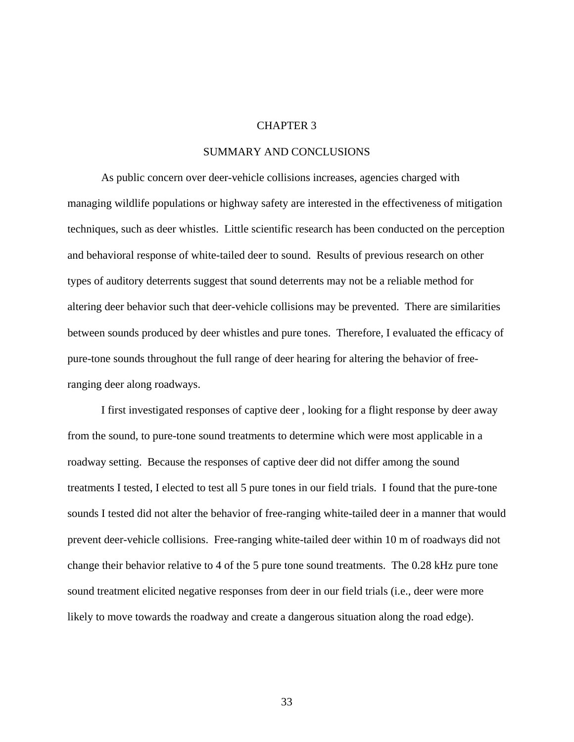### CHAPTER 3

### SUMMARY AND CONCLUSIONS

As public concern over deer-vehicle collisions increases, agencies charged with managing wildlife populations or highway safety are interested in the effectiveness of mitigation techniques, such as deer whistles. Little scientific research has been conducted on the perception and behavioral response of white-tailed deer to sound. Results of previous research on other types of auditory deterrents suggest that sound deterrents may not be a reliable method for altering deer behavior such that deer-vehicle collisions may be prevented. There are similarities between sounds produced by deer whistles and pure tones. Therefore, I evaluated the efficacy of pure-tone sounds throughout the full range of deer hearing for altering the behavior of freeranging deer along roadways.

I first investigated responses of captive deer , looking for a flight response by deer away from the sound, to pure-tone sound treatments to determine which were most applicable in a roadway setting. Because the responses of captive deer did not differ among the sound treatments I tested, I elected to test all 5 pure tones in our field trials. I found that the pure-tone sounds I tested did not alter the behavior of free-ranging white-tailed deer in a manner that would prevent deer-vehicle collisions. Free-ranging white-tailed deer within 10 m of roadways did not change their behavior relative to 4 of the 5 pure tone sound treatments. The 0.28 kHz pure tone sound treatment elicited negative responses from deer in our field trials (i.e., deer were more likely to move towards the roadway and create a dangerous situation along the road edge).